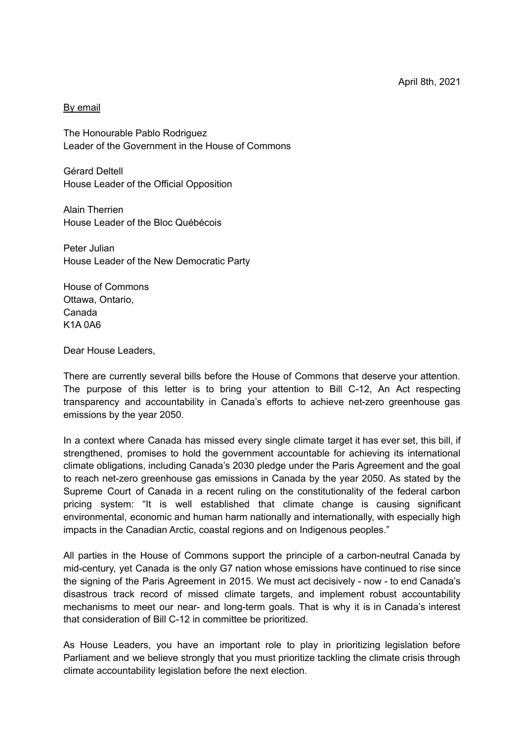## By email

The Honourable Pablo Rodriguez Leader of the Government in the House of Commons

Gérard Deltell House Leader of the Official Opposition

Alain Therrien House Leader of the Bloc Québécois

Peter Julian House Leader of the New Democratic Party

House of Commons Ottawa, Ontario, Canada K1A 0A6

Dear House Leaders,

There are currently several bills before the House of Commons that deserve your attention. The purpose of this letter is to bring your attention to Bill C-12, An Act respecting transparency and accountability in Canada's efforts to achieve net-zero greenhouse gas emissions by the year 2050.

In a context where Canada has missed every single climate target it has ever set, this bill, if strengthened, promises to hold the government accountable for achieving its international climate obligations, including Canada's 2030 pledge under the Paris Agreement and the goal to reach net-zero greenhouse gas emissions in Canada by the year 2050. As stated by the Supreme Court of Canada in a recent ruling on the constitutionality of the federal carbon pricing system: "It is well established that climate change is causing significant environmental, economic and human harm nationally and internationally, with especially high impacts in the Canadian Arctic, coastal regions and on Indigenous peoples."

All parties in the House of Commons support the principle of a carbon-neutral Canada by mid-century, yet Canada is the only G7 nation whose emissions have continued to rise since the signing of the Paris Agreement in 2015. We must act decisively - now - to end Canada's disastrous track record of missed climate targets, and implement robust accountability mechanisms to meet our near- and long-term goals. That is why it is in Canada's interest that consideration of Bill C-12 in committee be prioritized.

As House Leaders, you have an important role to play in prioritizing legislation before Parliament and we believe strongly that you must prioritize tackling the climate crisis through climate accountability legislation before the next election.